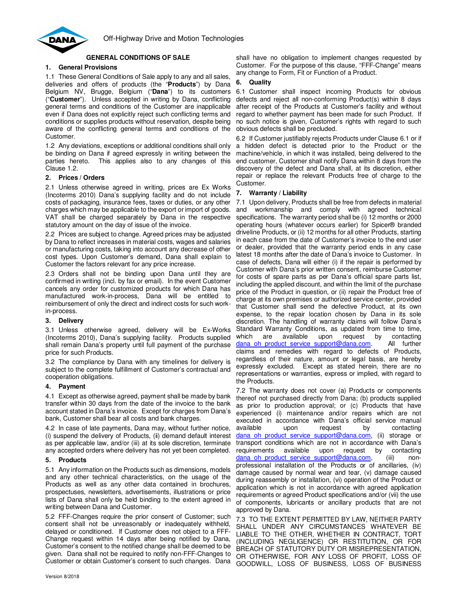

# **GENERAL CONDITIONS OF SALE**

## **1. General Provisions**

1.1 These General Conditions of Sale apply to any and all sales, deliveries and offers of products (the "**Products**") by Dana Belgium NV, Brugge, Belgium ("**Dana**") to its customers ("**Customer**"). Unless accepted in writing by Dana, conflicting general terms and conditions of the Customer are inapplicable even if Dana does not explicitly reject such conflicting terms and conditions or supplies products without reservation, despite being aware of the conflicting general terms and conditions of the Customer.

1.2 Any deviations, exceptions or additional conditions shall only be binding on Dana if agreed expressly in writing between the parties hereto. This applies also to any changes of this Clause 1.2.

### **2. Prices / Orders**

2.1 Unless otherwise agreed in writing, prices are Ex Works (Incoterms 2010) Dana's supplying facility and do not include costs of packaging, insurance fees, taxes or duties, or any other charges which may be applicable to the export or import of goods. VAT shall be charged separately by Dana in the respective statutory amount on the day of issue of the invoice.

2.2 Prices are subject to change. Agreed prices may be adjusted by Dana to reflect increases in material costs, wages and salaries or manufacturing costs, taking into account any decrease of other cost types. Upon Customer's demand, Dana shall explain to Customer the factors relevant for any price increase.

2.3 Orders shall not be binding upon Dana until they are confirmed in writing (incl. by fax or email). In the event Customer cancels any order for customized products for which Dana has manufactured work-in-process, Dana will be entitled to reimbursement of only the direct and indirect costs for such workin-process.

### **3. Delivery**

3.1 Unless otherwise agreed, delivery will be Ex-Works (Incoterms 2010), Dana's supplying facility. Products supplied shall remain Dana's property until full payment of the purchase price for such Products.

3.2 The compliance by Dana with any timelines for delivery is subject to the complete fulfillment of Customer's contractual and cooperation obligations.

### **4. Payment**

4.1 Except as otherwise agreed, payment shall be made by bank transfer within 30 days from the date of the invoice to the bank account stated in Dana's invoice. Except for charges from Dana's bank, Customer shall bear all costs and bank charges.

4.2 In case of late payments, Dana may, without further notice, (i) suspend the delivery of Products, (ii) demand default interest as per applicable law, and/or (iii) at its sole discretion, terminate any accepted orders where delivery has not yet been completed.

### **5. Products**

5.1 Any information on the Products such as dimensions, models and any other technical characteristics, on the usage of the Products as well as any other data contained in brochures, prospectuses, newsletters, advertisements, illustrations or price lists of Dana shall only be held binding to the extent agreed in writing between Dana and Customer.

5.2 FFF-Changes require the prior consent of Customer; such consent shall not be unreasonably or inadequately withheld, delayed or conditioned. If Customer does not object to a FFF-Change request within 14 days after being notified by Dana, Customer's consent to the notified change shall be deemed to be given. Dana shall not be required to notify non-FFF-Changes to Customer or obtain Customer's consent to such changes. Dana

shall have no obligation to implement changes requested by Customer. For the purpose of this clause, "FFF-Change" means any change to Form, Fit or Function of a Product.

### **6. Quality**

6.1 Customer shall inspect incoming Products for obvious defects and reject all non-conforming Product(s) within 8 days after receipt of the Products at Customer's facility and without regard to whether payment has been made for such Product. If no such notice is given, Customer's rights with regard to such obvious defects shall be precluded.

6.2 If Customer justifiably rejects Products under Clause 6.1 or if a hidden defect is detected prior to the Product or the machine/vehicle, in which it was installed, being delivered to the end customer, Customer shall notify Dana within 8 days from the discovery of the defect and Dana shall, at its discretion, either repair or replace the relevant Products free of charge to the Customer.

### **7. Warranty / Liability**

7.1 Upon delivery, Products shall be free from defects in material and workmanship and comply with agreed technical specifications. The warranty period shall be (i) 12 months or 2000 operating hours (whatever occurs earlier) for Spicer® branded driveline Products, or (ii) 12 months for all other Products, starting in each case from the date of Customer's invoice to the end user or dealer, provided that the warranty period ends in any case latest 18 months after the date of Dana's invoice to Customer. In case of defects, Dana will either (i) if the repair is performed by Customer with Dana's prior written consent, reimburse Customer for costs of spare parts as per Dana's official spare parts list, including the applied discount, and within the limit of the purchase price of the Product in question, or (ii) repair the Product free of charge at its own premises or authorized service center, provided that Customer shall send the defective Product, at its own expense, to the repair location chosen by Dana in its sole discretion. The handling of warranty claims will follow Dana's Standard Warranty Conditions, as updated from time to time, which are available upon request by contacting dana oh product service support@dana.com. All further claims and remedies with regard to defects of Products, regardless of their nature, amount or legal basis, are hereby expressly excluded. Except as stated herein, there are no representations or warranties, express or implied, with regard to the Products.

7.2 The warranty does not cover (a) Products or components thereof not purchased directly from Dana; (b) products supplied as prior to production approval; or (c) Products that have experienced (i) maintenance and/or repairs which are not executed in accordance with Dana's official service manual available upon request by contacting dana oh product service support@dana.com, (ii) storage or transport conditions which are not in accordance with Dana's requirements available upon request by contacting dana\_oh\_product\_service\_support@dana.com, (iii) nonprofessional installation of the Products or of ancillaries, (iv) damage caused by normal wear and tear, (v) damage caused during reassembly or installation, (vi) operation of the Product or application which is not in accordance with agreed application requirements or agreed Product specifications and/or (vii) the use of components, lubricants or ancillary products that are not approved by Dana.

7.3 TO THE EXTENT PERMITTED BY LAW, NEITHER PARTY SHALL UNDER ANY CIRCUMSTANCES WHATEVER BE LIABLE TO THE OTHER, WHETHER IN CONTRACT, TORT (INCLUDING NEGLIGENCE) OR RESTITUTION, OR FOR BREACH OF STATUTORY DUTY OR MISREPRESENTATION, OR OTHERWISE, FOR ANY LOSS OF PROFIT, LOSS OF GOODWILL, LOSS OF BUSINESS, LOSS OF BUSINESS